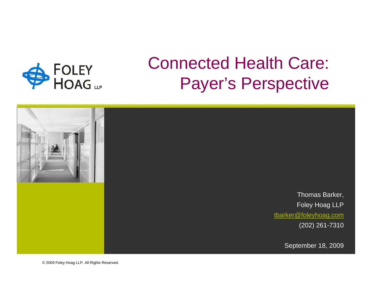

# Connected Health Care: Payer's Perspective



© 2009 Foley Hoag LLP. All Rights Reserved.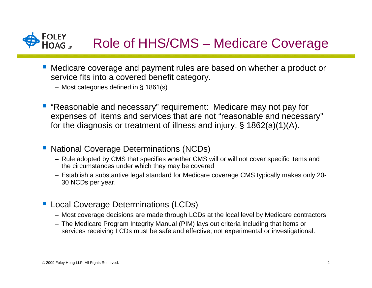

## Role of HHS/CMS – Medicare Coverage

- Medicare coverage and payment rules are based on whether a product or service fits into a covered benefit category.
	- Most categories defined in § 1861(s).
- **"Reasonable and necessary" requirement: Medicare may not pay for** expenses of items and services that are not "reasonable and necessary" for the diagnosis or treatment of illness and injury. § 1862(a)(1)(A).
- National Coverage Determinations (NCDs)
	- Rule adopted by CMS that specifies whether CMS will or will not cover specific items and the circumstances under which they may be covered
	- Establish a substantive legal standard for Medicare coverage CMS typically makes only 20- 30 NCDs per year.
- **Local Coverage Determinations (LCDs)** 
	- Most coverage decisions are made through LCDs at the local level by Medicare contractors
	- The Medicare Program Integrity Manual (PIM) lays out criteria including that items or services receiving LCDs must be safe and effective; not experimental or investigational.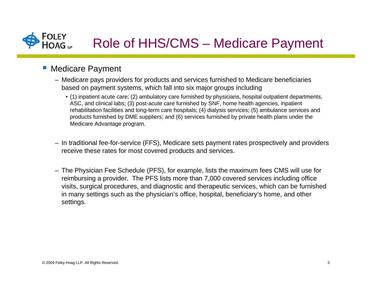

#### **• Medicare Payment**

- Medicare pays providers for products and services furnished to Medicare beneficiaries based on payment systems, which fall into six major groups including
	- (1) inpatient acute care; (2) ambulatory care furnished by physicians, hospital outpatient departments, ASC, and clinical labs; (3) post-acute care furnished by SNF, home health agencies, inpatient rehabilitation facilities and long-term care hospitals; (4) dialysis services; (5) ambulance services and products furnished by DME suppliers; and (6) services furnished by private health plans under the Medicare Advantage program.
- In traditional fee-for-service (FFS), Medicare sets payment rates prospectively and providers receive these rates for most covered products and services.
- The Physician Fee Schedule (PFS), for example, lists the maximum fees CMS will use for reimbursing a provider. The PFS lists more than 7,000 covered services including office visits, surgical procedures, and diagnostic and therapeutic services, which can be furnished in many settings such as the physician's office, hospital, beneficiary's home, and other settings.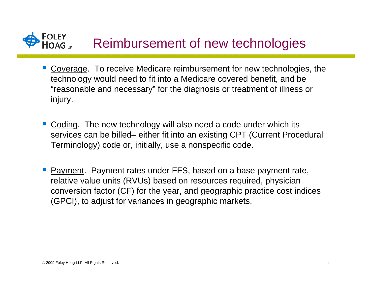### FOLEY<br>HOAG Reimbursement of new technologies

- **Coverage.** To receive Medicare reimbursement for new technologies, the technology would need to fit into a Medicare covered benefit, and be "reasonable and necessary" for the diagnosis or treatment of illness or injury.
- Coding. The new technology will also need a code under which its services can be billed– either fit into an existing CPT (Current Procedural Terminology) code or, initially, use a nonspecific code.
- Payment. Payment rates under FFS, based on a base payment rate, relative value units (RVUs) based on resources required, physician conversion factor (CF) for the year, and geographic practice cost indices (GPCI), to adjust for variances in geographic markets.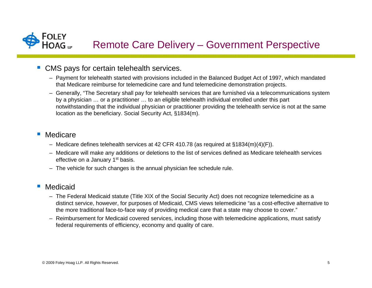

#### ■ CMS pays for certain telehealth services.

- Payment for telehealth started with provisions included in the Balanced Budget Act of 1997, which mandated that Medicare reimburse for telemedicine care and fund telemedicine demonstration projects.
- Generally, "The Secretary shall pay for telehealth services that are furnished via a telecommunications system by a physician … or a practitioner … to an eligible telehealth individual enrolled under this part notwithstanding that the individual physician or practitioner providing the telehealth service is not at the same location as the beneficiary. Social Security Act, §1834(m).

#### $\Box$ Medicare

- Medicare defines telehealth services at 42 CFR 410.78 (as required at §1834(m)(4)(F)).
- Medicare will make any additions or deletions to the list of services defined as Medicare telehealth services effective on a January 1<sup>st</sup> basis.
- The vehicle for such changes is the annual physician fee schedule rule.

#### $\overline{\phantom{a}}$ Medicaid

- The Federal Medicaid statute (Title XIX of the Social Security Act) does not recognize telemedicine as a distinct service, however, for purposes of Medicaid, CMS views telemedicine "as a cost-effective alternative to the more traditional face-to-face way of providing medical care that a state may choose to cover."
- Reimbursement for Medicaid covered services, including those with telemedicine applications, must satisfy federal requirements of efficiency, economy and quality of care.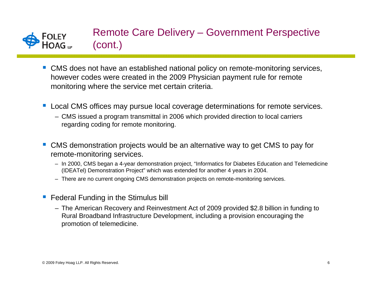

## Remote Care Delivery – Government Perspective (cont.)

- CMS does not have an established national policy on remote-monitoring services, however codes were created in the 2009 Physician payment rule for remote monitoring where the service met certain criteria.
- Local CMS offices may pursue local coverage determinations for remote services.
	- CMS issued a program transmittal in 2006 which provided direction to local carriers regarding coding for remote monitoring.
- CMS demonstration projects would be an alternative way to get CMS to pay for remote-monitoring services.
	- In 2000, CMS began a 4-year demonstration project, "Informatics for Diabetes Education and Telemedicine (IDEATel) Demonstration Project" which was extended for another 4 years in 2004.
	- There are no current ongoing CMS demonstration projects on remote-monitoring services.
- **Contract Contract Contract Contract Contract Contract Contract Contract Contract Contract Contract Contract Co**  Federal Funding in the Stimulus bill
	- The American Recovery and Reinvestment Act of 2009 provided \$2.8 billion in funding to Rural Broadband Infrastructure Development, including a provision encouraging the promotion of telemedicine.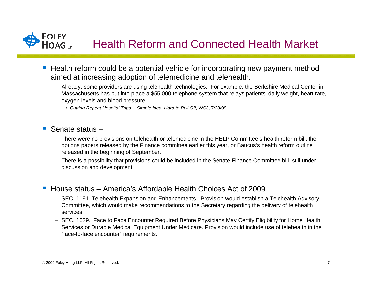# Health Reform and Connected Health Market

- Health reform could be a potential vehicle for incorporating new payment method aimed at increasing adoption of telemedicine and telehealth.
	- Already, some providers are using telehealth technologies. For example, the Berkshire Medical Center in Massachusetts has put into place a \$55,000 telephone system that relays patients' daily weight, heart rate, oxygen levels and blood pressure.
		- *Cutting Repeat Hospital Trips -- Simple Idea, Hard to Pull Off,* WSJ, 7/28/09.
- Senate status –
	- There were no provisions on telehealth or telemedicine in the HELP Committee's health reform bill, the options papers released by the Finance committee earlier this year, or Baucus's health reform outline released in the beginning of September.
	- There is a possibility that provisions could be included in the Senate Finance Committee bill, still under discussion and development.
- House status America's Affordable Health Choices Act of 2009
	- SEC. 1191. Telehealth Expansion and Enhancements. Provision would establish a Telehealth Advisory Committee, which would make recommendations to the Secretary regarding the delivery of telehealth services.
	- SEC. 1639. Face to Face Encounter Required Before Physicians May Certify Eligibility for Home Health Services or Durable Medical Equipment Under Medicare. Provision would include use of telehealth in the "face-to-face encounter" requirements.